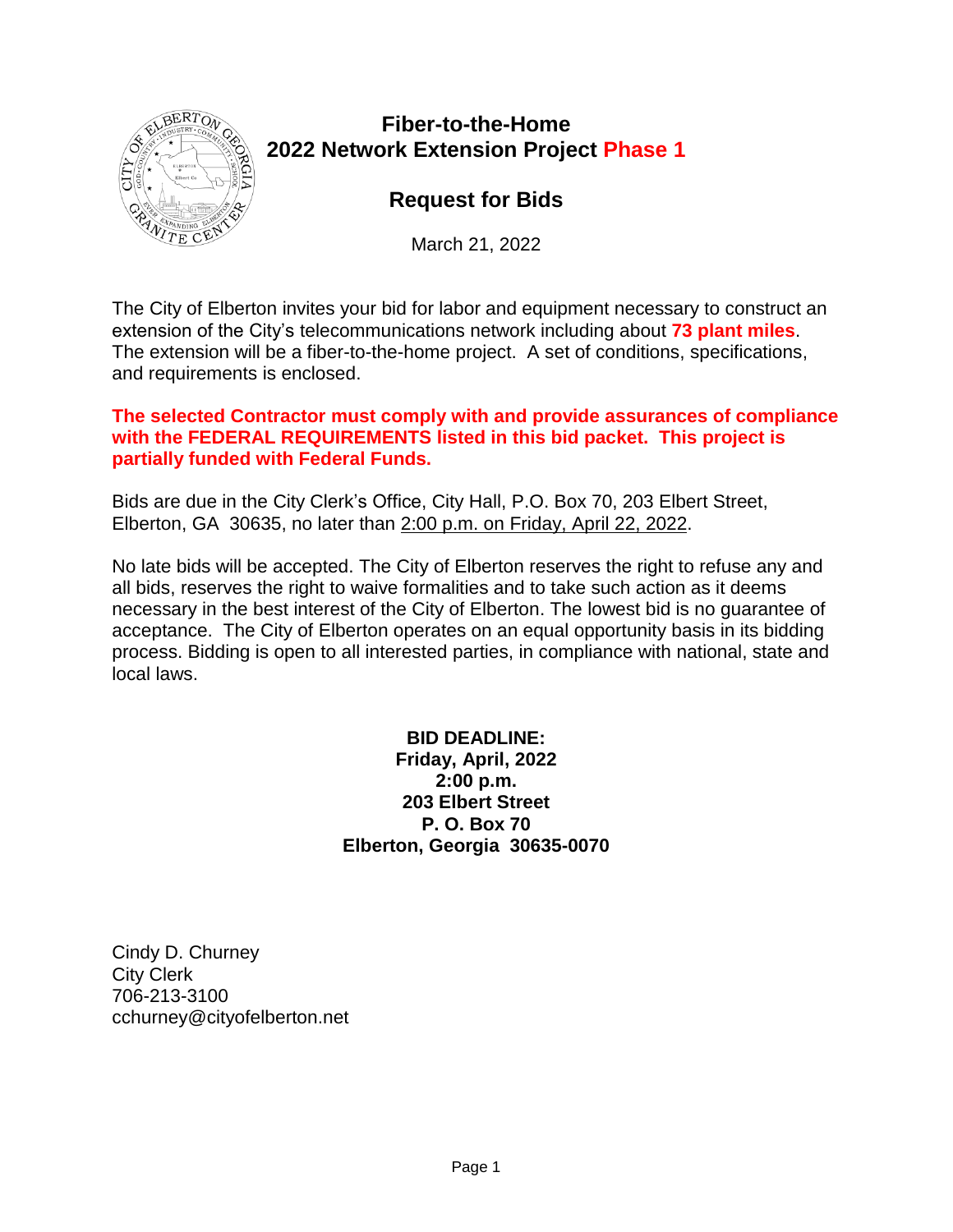

# **Fiber-to-the-Home 2022 Network Extension Project Phase 1**

# **Request for Bids**

March 21, 2022

The City of Elberton invites your bid for labor and equipment necessary to construct an extension of the City's telecommunications network including about **73 plant miles**. The extension will be a fiber-to-the-home project. A set of conditions, specifications, and requirements is enclosed.

#### **The selected Contractor must comply with and provide assurances of compliance with the FEDERAL REQUIREMENTS listed in this bid packet. This project is partially funded with Federal Funds.**

Bids are due in the City Clerk's Office, City Hall, P.O. Box 70, 203 Elbert Street, Elberton, GA 30635, no later than 2:00 p.m. on Friday, April 22, 2022.

No late bids will be accepted. The City of Elberton reserves the right to refuse any and all bids, reserves the right to waive formalities and to take such action as it deems necessary in the best interest of the City of Elberton. The lowest bid is no guarantee of acceptance. The City of Elberton operates on an equal opportunity basis in its bidding process. Bidding is open to all interested parties, in compliance with national, state and local laws.

> **BID DEADLINE: Friday, April, 2022 2:00 p.m. 203 Elbert Street P. O. Box 70 Elberton, Georgia 30635-0070**

Cindy D. Churney City Clerk 706-213-3100 cchurney@cityofelberton.net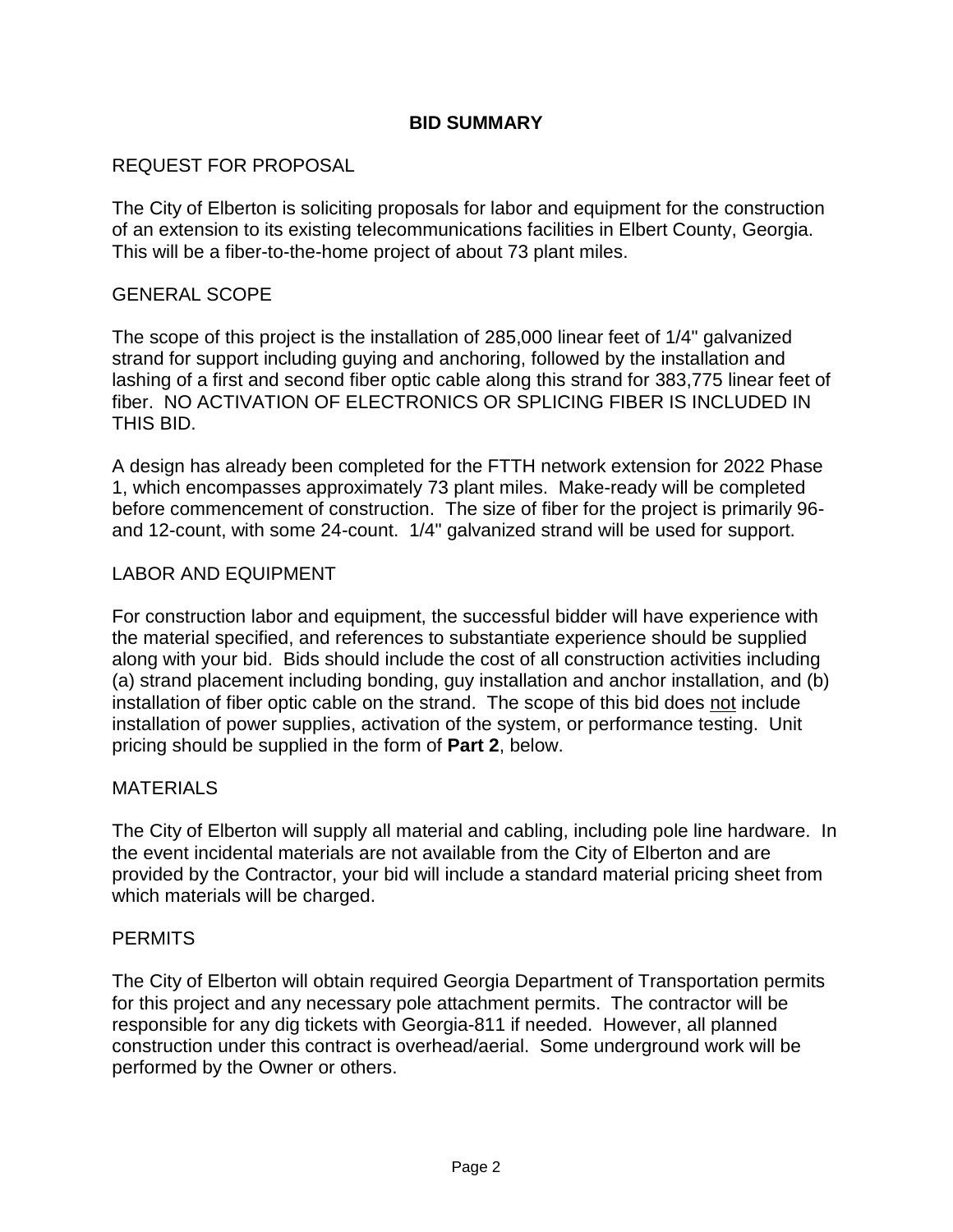#### **BID SUMMARY**

#### REQUEST FOR PROPOSAL

The City of Elberton is soliciting proposals for labor and equipment for the construction of an extension to its existing telecommunications facilities in Elbert County, Georgia. This will be a fiber-to-the-home project of about 73 plant miles.

#### GENERAL SCOPE

The scope of this project is the installation of 285,000 linear feet of 1/4" galvanized strand for support including guying and anchoring, followed by the installation and lashing of a first and second fiber optic cable along this strand for 383,775 linear feet of fiber. NO ACTIVATION OF ELECTRONICS OR SPLICING FIBER IS INCLUDED IN THIS BID.

A design has already been completed for the FTTH network extension for 2022 Phase 1, which encompasses approximately 73 plant miles. Make-ready will be completed before commencement of construction. The size of fiber for the project is primarily 96 and 12-count, with some 24-count. 1/4" galvanized strand will be used for support.

#### LABOR AND EQUIPMENT

For construction labor and equipment, the successful bidder will have experience with the material specified, and references to substantiate experience should be supplied along with your bid. Bids should include the cost of all construction activities including (a) strand placement including bonding, guy installation and anchor installation, and (b) installation of fiber optic cable on the strand. The scope of this bid does not include installation of power supplies, activation of the system, or performance testing. Unit pricing should be supplied in the form of **Part 2**, below.

#### MATERIALS

The City of Elberton will supply all material and cabling, including pole line hardware. In the event incidental materials are not available from the City of Elberton and are provided by the Contractor, your bid will include a standard material pricing sheet from which materials will be charged.

#### **PERMITS**

The City of Elberton will obtain required Georgia Department of Transportation permits for this project and any necessary pole attachment permits. The contractor will be responsible for any dig tickets with Georgia-811 if needed. However, all planned construction under this contract is overhead/aerial. Some underground work will be performed by the Owner or others.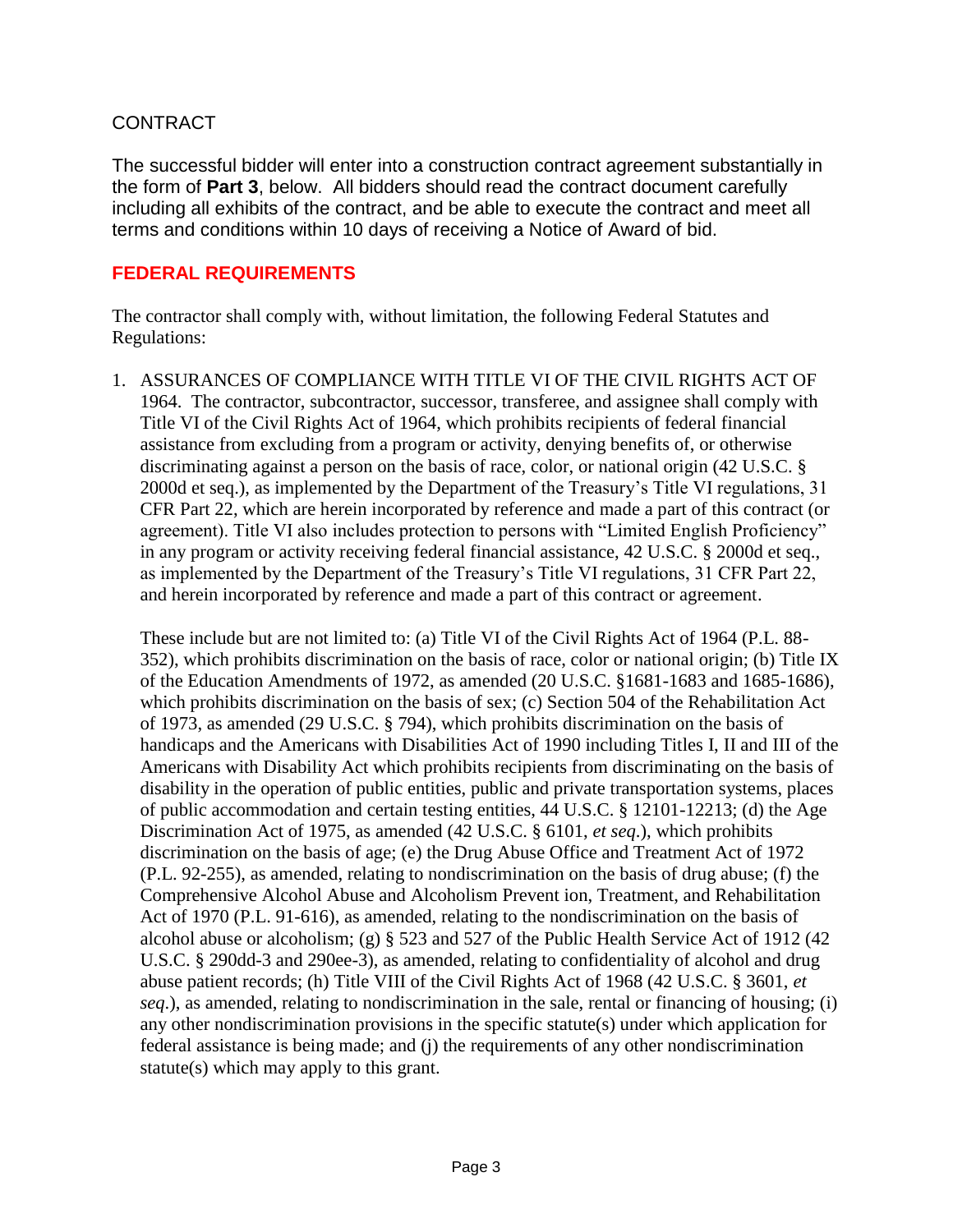#### CONTRACT

The successful bidder will enter into a construction contract agreement substantially in the form of **Part 3**, below. All bidders should read the contract document carefully including all exhibits of the contract, and be able to execute the contract and meet all terms and conditions within 10 days of receiving a Notice of Award of bid.

#### **FEDERAL REQUIREMENTS**

The contractor shall comply with, without limitation, the following Federal Statutes and Regulations:

1. ASSURANCES OF COMPLIANCE WITH TITLE VI OF THE CIVIL RIGHTS ACT OF 1964. The contractor, subcontractor, successor, transferee, and assignee shall comply with Title VI of the Civil Rights Act of 1964, which prohibits recipients of federal financial assistance from excluding from a program or activity, denying benefits of, or otherwise discriminating against a person on the basis of race, color, or national origin (42 U.S.C. § 2000d et seq.), as implemented by the Department of the Treasury's Title VI regulations, 31 CFR Part 22, which are herein incorporated by reference and made a part of this contract (or agreement). Title VI also includes protection to persons with "Limited English Proficiency" in any program or activity receiving federal financial assistance, 42 U.S.C. § 2000d et seq., as implemented by the Department of the Treasury's Title VI regulations, 31 CFR Part 22, and herein incorporated by reference and made a part of this contract or agreement.

These include but are not limited to: (a) Title VI of the Civil Rights Act of 1964 (P.L. 88- 352), which prohibits discrimination on the basis of race, color or national origin; (b) Title IX of the Education Amendments of 1972, as amended (20 U.S.C. §1681-1683 and 1685-1686), which prohibits discrimination on the basis of sex; (c) Section 504 of the Rehabilitation Act of 1973, as amended (29 U.S.C. § 794), which prohibits discrimination on the basis of handicaps and the Americans with Disabilities Act of 1990 including Titles I, II and III of the Americans with Disability Act which prohibits recipients from discriminating on the basis of disability in the operation of public entities, public and private transportation systems, places of public accommodation and certain testing entities, 44 U.S.C. § 12101-12213; (d) the Age Discrimination Act of 1975, as amended (42 U.S.C. § 6101, *et seq*.), which prohibits discrimination on the basis of age; (e) the Drug Abuse Office and Treatment Act of 1972 (P.L. 92-255), as amended, relating to nondiscrimination on the basis of drug abuse; (f) the Comprehensive Alcohol Abuse and Alcoholism Prevent ion, Treatment, and Rehabilitation Act of 1970 (P.L. 91-616), as amended, relating to the nondiscrimination on the basis of alcohol abuse or alcoholism; (g) § 523 and 527 of the Public Health Service Act of 1912 (42 U.S.C. § 290dd-3 and 290ee-3), as amended, relating to confidentiality of alcohol and drug abuse patient records; (h) Title VIII of the Civil Rights Act of 1968 (42 U.S.C. § 3601, *et seq*.), as amended, relating to nondiscrimination in the sale, rental or financing of housing; (i) any other nondiscrimination provisions in the specific statute(s) under which application for federal assistance is being made; and (j) the requirements of any other nondiscrimination statute(s) which may apply to this grant.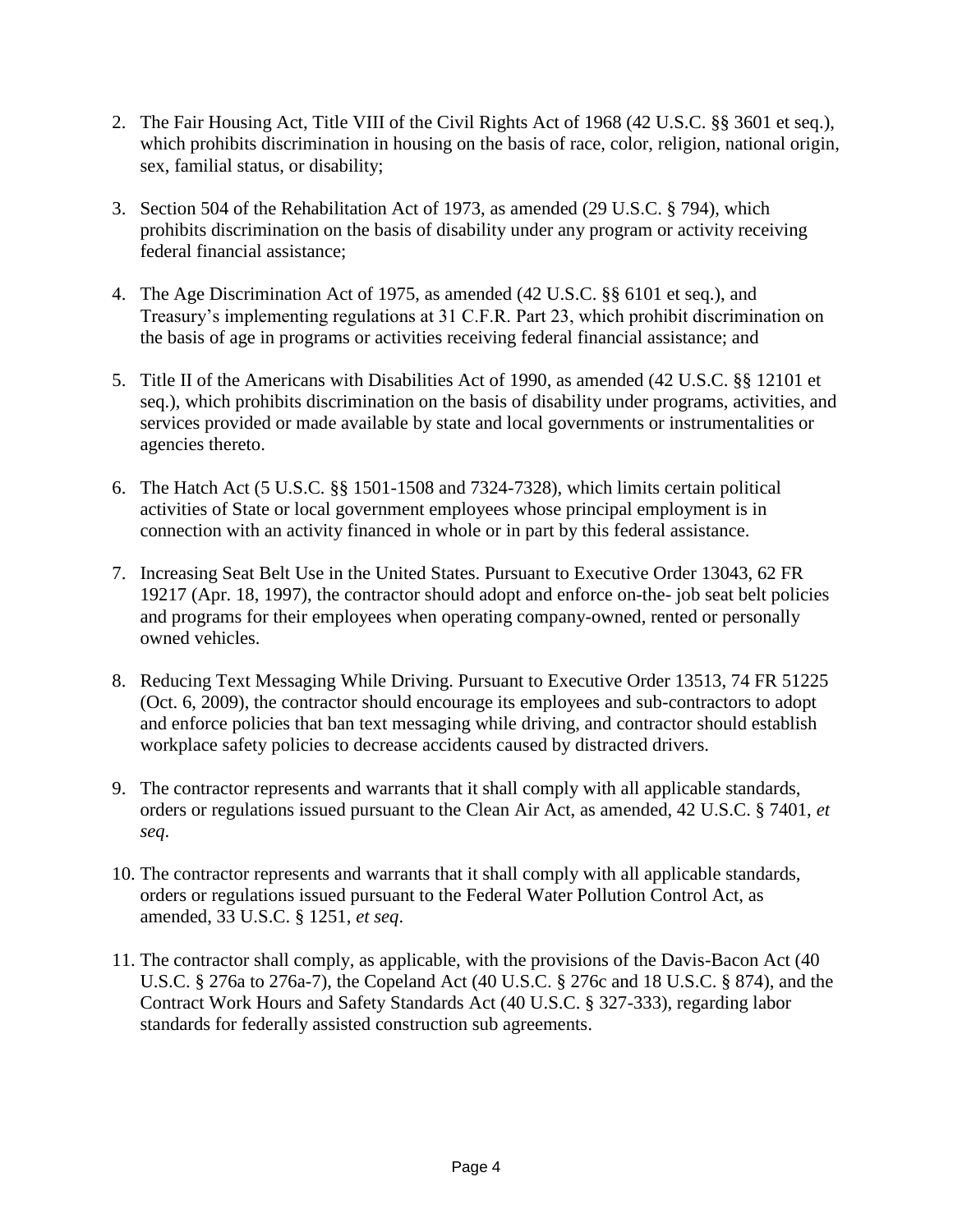- 2. The Fair Housing Act, Title VIII of the Civil Rights Act of 1968 (42 U.S.C. §§ 3601 et seq.), which prohibits discrimination in housing on the basis of race, color, religion, national origin, sex, familial status, or disability;
- 3. Section 504 of the Rehabilitation Act of 1973, as amended (29 U.S.C. § 794), which prohibits discrimination on the basis of disability under any program or activity receiving federal financial assistance;
- 4. The Age Discrimination Act of 1975, as amended (42 U.S.C. §§ 6101 et seq.), and Treasury's implementing regulations at 31 C.F.R. Part 23, which prohibit discrimination on the basis of age in programs or activities receiving federal financial assistance; and
- 5. Title II of the Americans with Disabilities Act of 1990, as amended (42 U.S.C. §§ 12101 et seq.), which prohibits discrimination on the basis of disability under programs, activities, and services provided or made available by state and local governments or instrumentalities or agencies thereto.
- 6. The Hatch Act (5 U.S.C. §§ 1501-1508 and 7324-7328), which limits certain political activities of State or local government employees whose principal employment is in connection with an activity financed in whole or in part by this federal assistance.
- 7. Increasing Seat Belt Use in the United States. Pursuant to Executive Order 13043, 62 FR 19217 (Apr. 18, 1997), the contractor should adopt and enforce on-the- job seat belt policies and programs for their employees when operating company-owned, rented or personally owned vehicles.
- 8. Reducing Text Messaging While Driving. Pursuant to Executive Order 13513, 74 FR 51225 (Oct. 6, 2009), the contractor should encourage its employees and sub-contractors to adopt and enforce policies that ban text messaging while driving, and contractor should establish workplace safety policies to decrease accidents caused by distracted drivers.
- 9. The contractor represents and warrants that it shall comply with all applicable standards, orders or regulations issued pursuant to the Clean Air Act, as amended, 42 U.S.C. § 7401, *et seq*.
- 10. The contractor represents and warrants that it shall comply with all applicable standards, orders or regulations issued pursuant to the Federal Water Pollution Control Act, as amended, 33 U.S.C. § 1251, *et seq*.
- 11. The contractor shall comply, as applicable, with the provisions of the Davis-Bacon Act (40 U.S.C. § 276a to 276a-7), the Copeland Act (40 U.S.C. § 276c and 18 U.S.C. § 874), and the Contract Work Hours and Safety Standards Act (40 U.S.C. § 327-333), regarding labor standards for federally assisted construction sub agreements.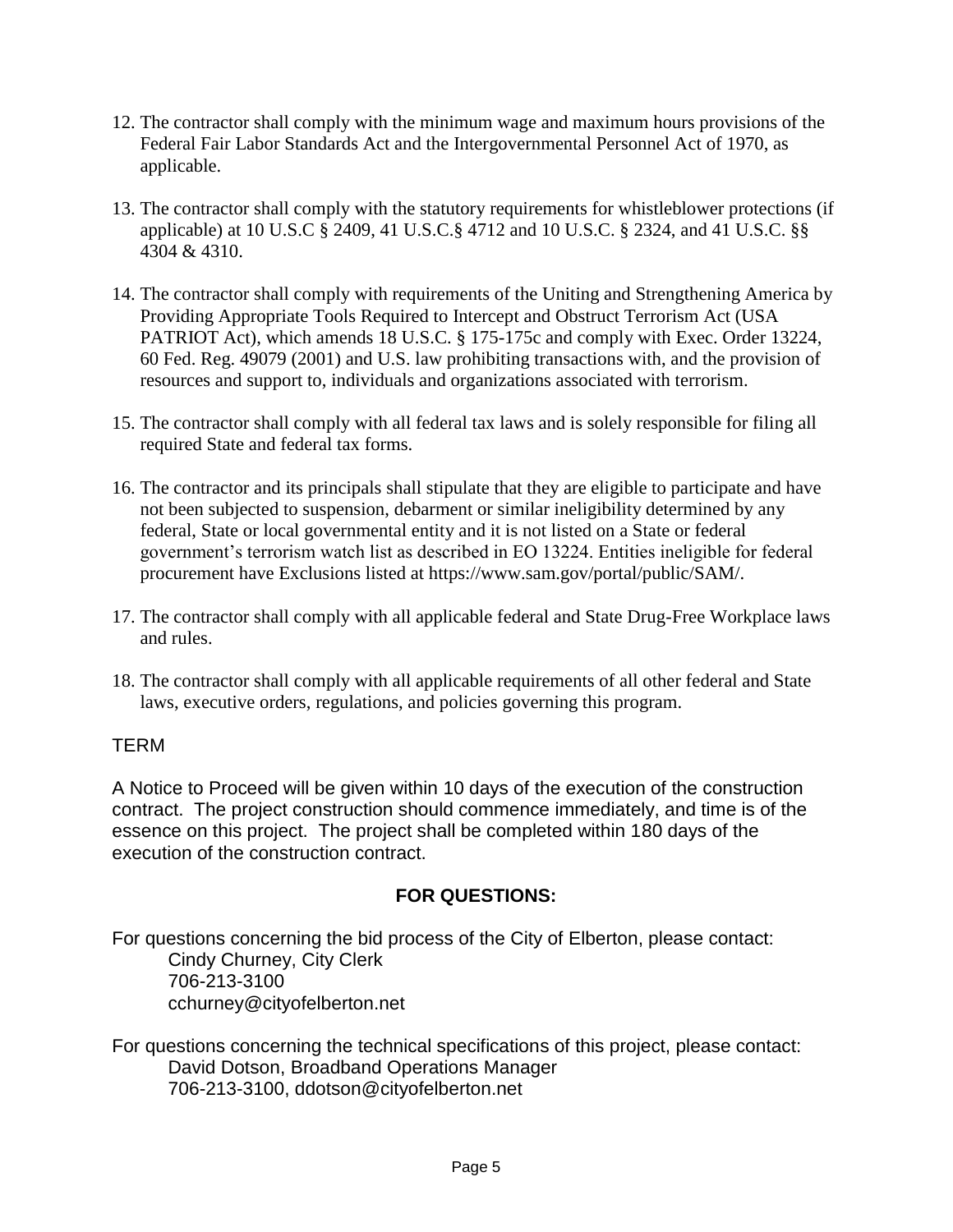- 12. The contractor shall comply with the minimum wage and maximum hours provisions of the Federal Fair Labor Standards Act and the Intergovernmental Personnel Act of 1970, as applicable.
- 13. The contractor shall comply with the statutory requirements for whistleblower protections (if applicable) at 10 U.S.C § 2409, 41 U.S.C.§ 4712 and 10 U.S.C. § 2324, and 41 U.S.C. §§ 4304 & 4310.
- 14. The contractor shall comply with requirements of the Uniting and Strengthening America by Providing Appropriate Tools Required to Intercept and Obstruct Terrorism Act (USA PATRIOT Act), which amends 18 U.S.C. § 175-175c and comply with Exec. Order 13224, 60 Fed. Reg. 49079 (2001) and U.S. law prohibiting transactions with, and the provision of resources and support to, individuals and organizations associated with terrorism.
- 15. The contractor shall comply with all federal tax laws and is solely responsible for filing all required State and federal tax forms.
- 16. The contractor and its principals shall stipulate that they are eligible to participate and have not been subjected to suspension, debarment or similar ineligibility determined by any federal, State or local governmental entity and it is not listed on a State or federal government's terrorism watch list as described in EO 13224. Entities ineligible for federal procurement have Exclusions listed at https://www.sam.gov/portal/public/SAM/.
- 17. The contractor shall comply with all applicable federal and State Drug-Free Workplace laws and rules.
- 18. The contractor shall comply with all applicable requirements of all other federal and State laws, executive orders, regulations, and policies governing this program.

# TERM

A Notice to Proceed will be given within 10 days of the execution of the construction contract. The project construction should commence immediately, and time is of the essence on this project. The project shall be completed within 180 days of the execution of the construction contract.

# **FOR QUESTIONS:**

For questions concerning the bid process of the City of Elberton, please contact: Cindy Churney, City Clerk 706-213-3100 cchurney@cityofelberton.net

For questions concerning the technical specifications of this project, please contact: David Dotson, Broadband Operations Manager 706-213-3100, ddotson@cityofelberton.net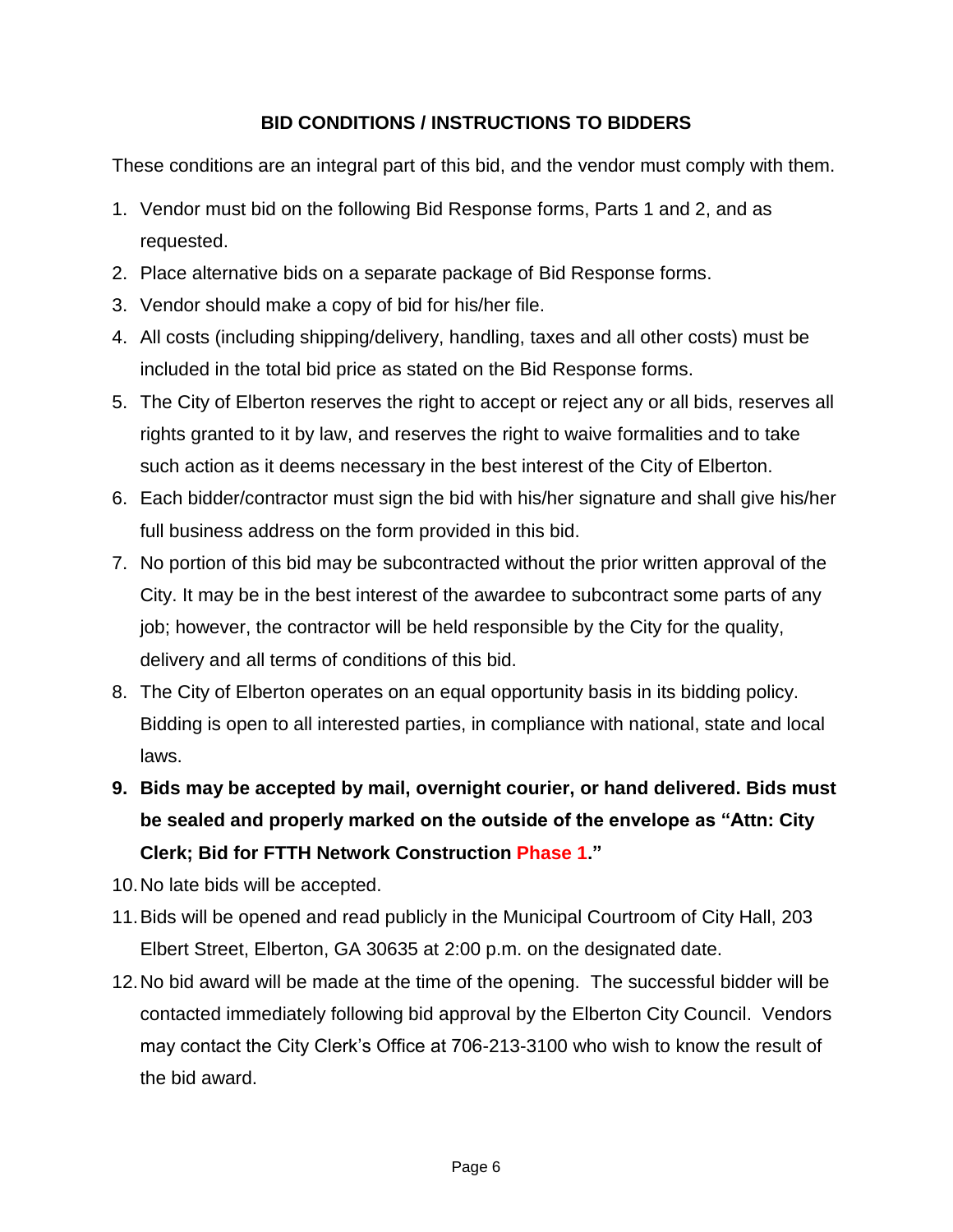# **BID CONDITIONS / INSTRUCTIONS TO BIDDERS**

These conditions are an integral part of this bid, and the vendor must comply with them.

- 1. Vendor must bid on the following Bid Response forms, Parts 1 and 2, and as requested.
- 2. Place alternative bids on a separate package of Bid Response forms.
- 3. Vendor should make a copy of bid for his/her file.
- 4. All costs (including shipping/delivery, handling, taxes and all other costs) must be included in the total bid price as stated on the Bid Response forms.
- 5. The City of Elberton reserves the right to accept or reject any or all bids, reserves all rights granted to it by law, and reserves the right to waive formalities and to take such action as it deems necessary in the best interest of the City of Elberton.
- 6. Each bidder/contractor must sign the bid with his/her signature and shall give his/her full business address on the form provided in this bid.
- 7. No portion of this bid may be subcontracted without the prior written approval of the City. It may be in the best interest of the awardee to subcontract some parts of any job; however, the contractor will be held responsible by the City for the quality, delivery and all terms of conditions of this bid.
- 8. The City of Elberton operates on an equal opportunity basis in its bidding policy. Bidding is open to all interested parties, in compliance with national, state and local laws.
- **9. Bids may be accepted by mail, overnight courier, or hand delivered. Bids must be sealed and properly marked on the outside of the envelope as "Attn: City Clerk; Bid for FTTH Network Construction Phase 1."**
- 10.No late bids will be accepted.
- 11.Bids will be opened and read publicly in the Municipal Courtroom of City Hall, 203 Elbert Street, Elberton, GA 30635 at 2:00 p.m. on the designated date.
- 12.No bid award will be made at the time of the opening. The successful bidder will be contacted immediately following bid approval by the Elberton City Council. Vendors may contact the City Clerk's Office at 706-213-3100 who wish to know the result of the bid award.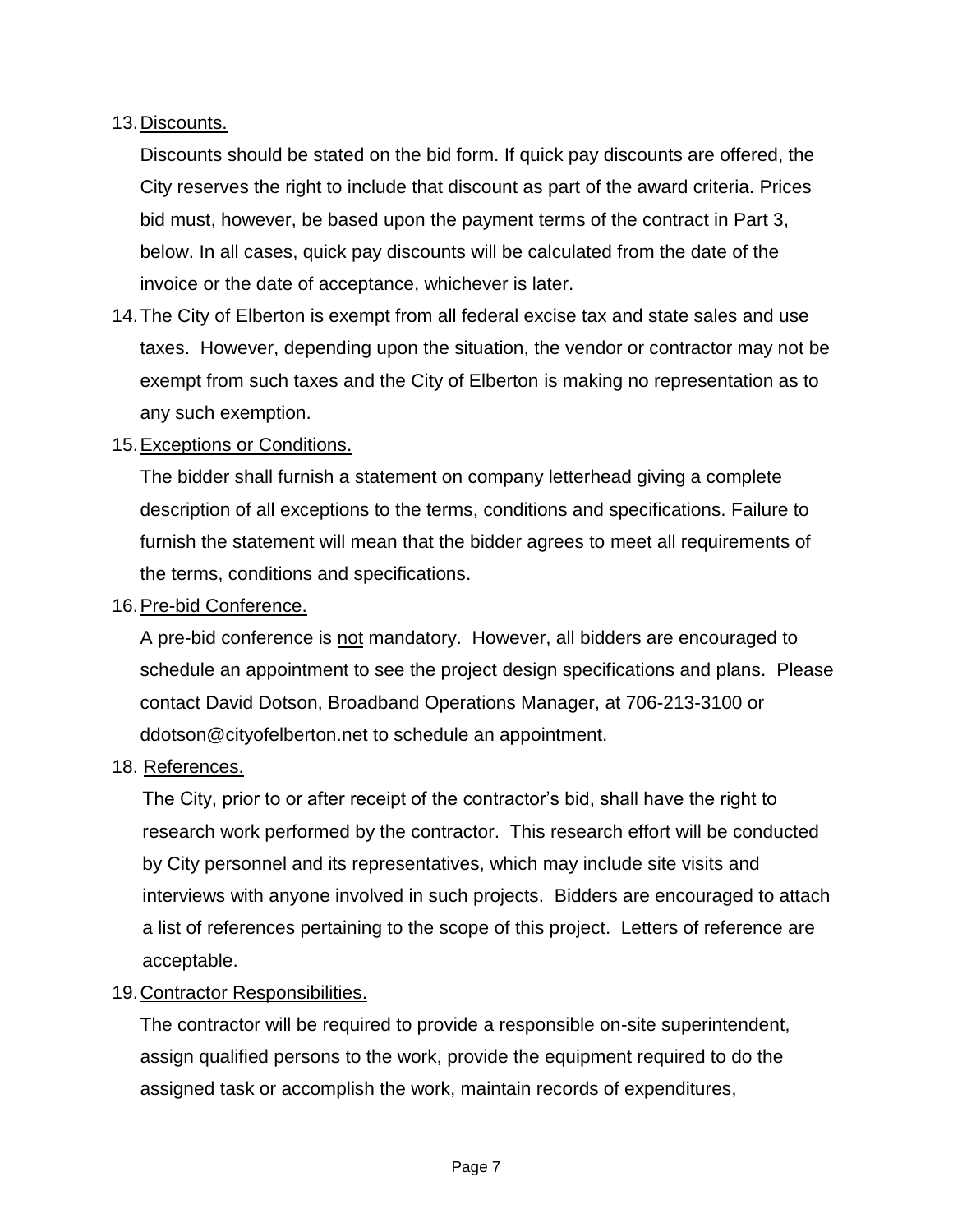# 13.Discounts.

Discounts should be stated on the bid form. If quick pay discounts are offered, the City reserves the right to include that discount as part of the award criteria. Prices bid must, however, be based upon the payment terms of the contract in Part 3, below. In all cases, quick pay discounts will be calculated from the date of the invoice or the date of acceptance, whichever is later.

14.The City of Elberton is exempt from all federal excise tax and state sales and use taxes. However, depending upon the situation, the vendor or contractor may not be exempt from such taxes and the City of Elberton is making no representation as to any such exemption.

#### 15.Exceptions or Conditions.

The bidder shall furnish a statement on company letterhead giving a complete description of all exceptions to the terms, conditions and specifications. Failure to furnish the statement will mean that the bidder agrees to meet all requirements of the terms, conditions and specifications.

#### 16.Pre-bid Conference.

A pre-bid conference is not mandatory. However, all bidders are encouraged to schedule an appointment to see the project design specifications and plans. Please contact David Dotson, Broadband Operations Manager, at 706-213-3100 or ddotson@cityofelberton.net to schedule an appointment.

#### 18. References.

The City, prior to or after receipt of the contractor's bid, shall have the right to research work performed by the contractor. This research effort will be conducted by City personnel and its representatives, which may include site visits and interviews with anyone involved in such projects. Bidders are encouraged to attach a list of references pertaining to the scope of this project. Letters of reference are acceptable.

#### 19.Contractor Responsibilities.

The contractor will be required to provide a responsible on-site superintendent, assign qualified persons to the work, provide the equipment required to do the assigned task or accomplish the work, maintain records of expenditures,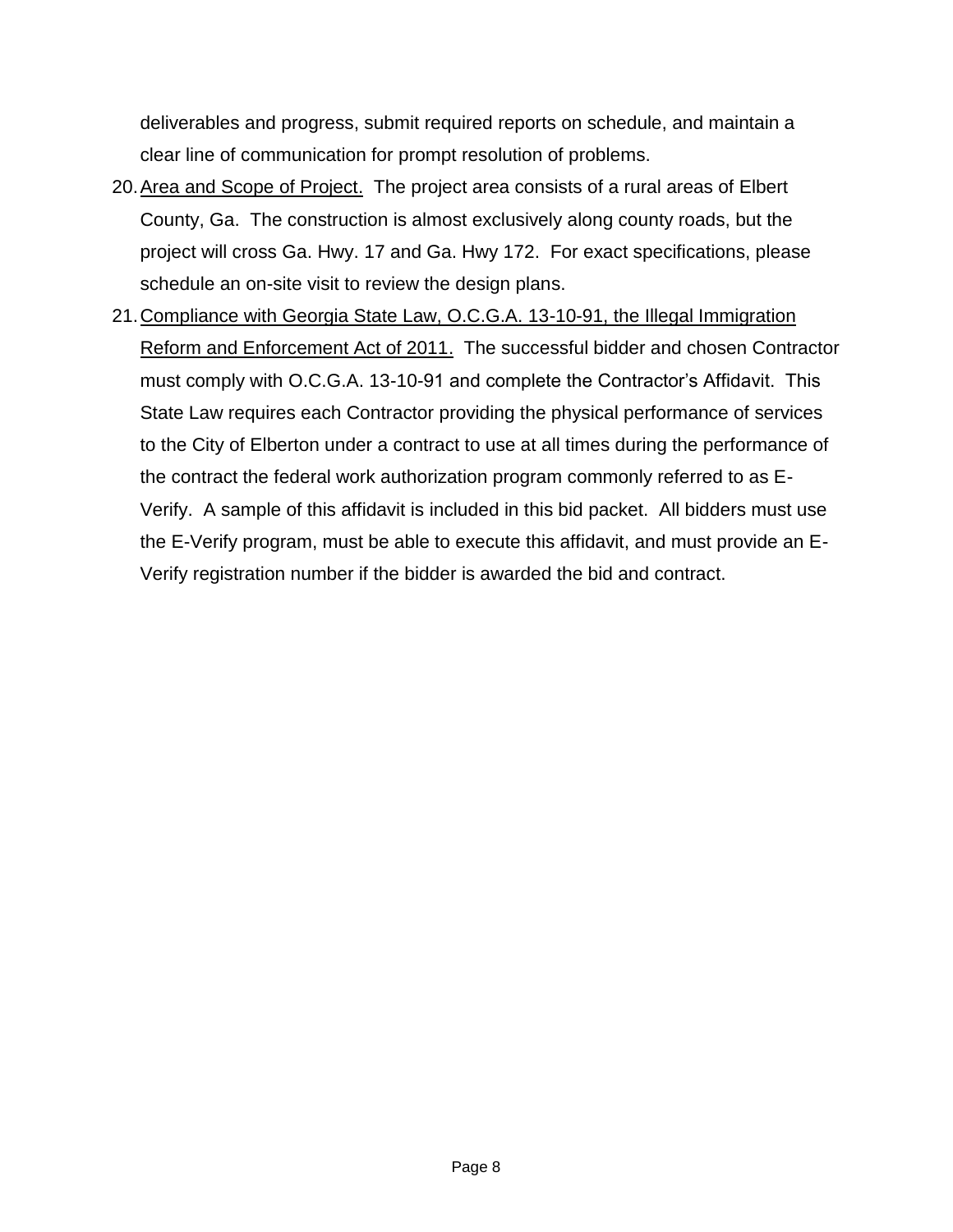deliverables and progress, submit required reports on schedule, and maintain a clear line of communication for prompt resolution of problems.

- 20.Area and Scope of Project. The project area consists of a rural areas of Elbert County, Ga. The construction is almost exclusively along county roads, but the project will cross Ga. Hwy. 17 and Ga. Hwy 172. For exact specifications, please schedule an on-site visit to review the design plans.
- 21.Compliance with Georgia State Law, O.C.G.A. 13-10-91, the Illegal Immigration Reform and Enforcement Act of 2011. The successful bidder and chosen Contractor must comply with O.C.G.A. 13-10-91 and complete the Contractor's Affidavit. This State Law requires each Contractor providing the physical performance of services to the City of Elberton under a contract to use at all times during the performance of the contract the federal work authorization program commonly referred to as E-Verify. A sample of this affidavit is included in this bid packet. All bidders must use the E-Verify program, must be able to execute this affidavit, and must provide an E-Verify registration number if the bidder is awarded the bid and contract.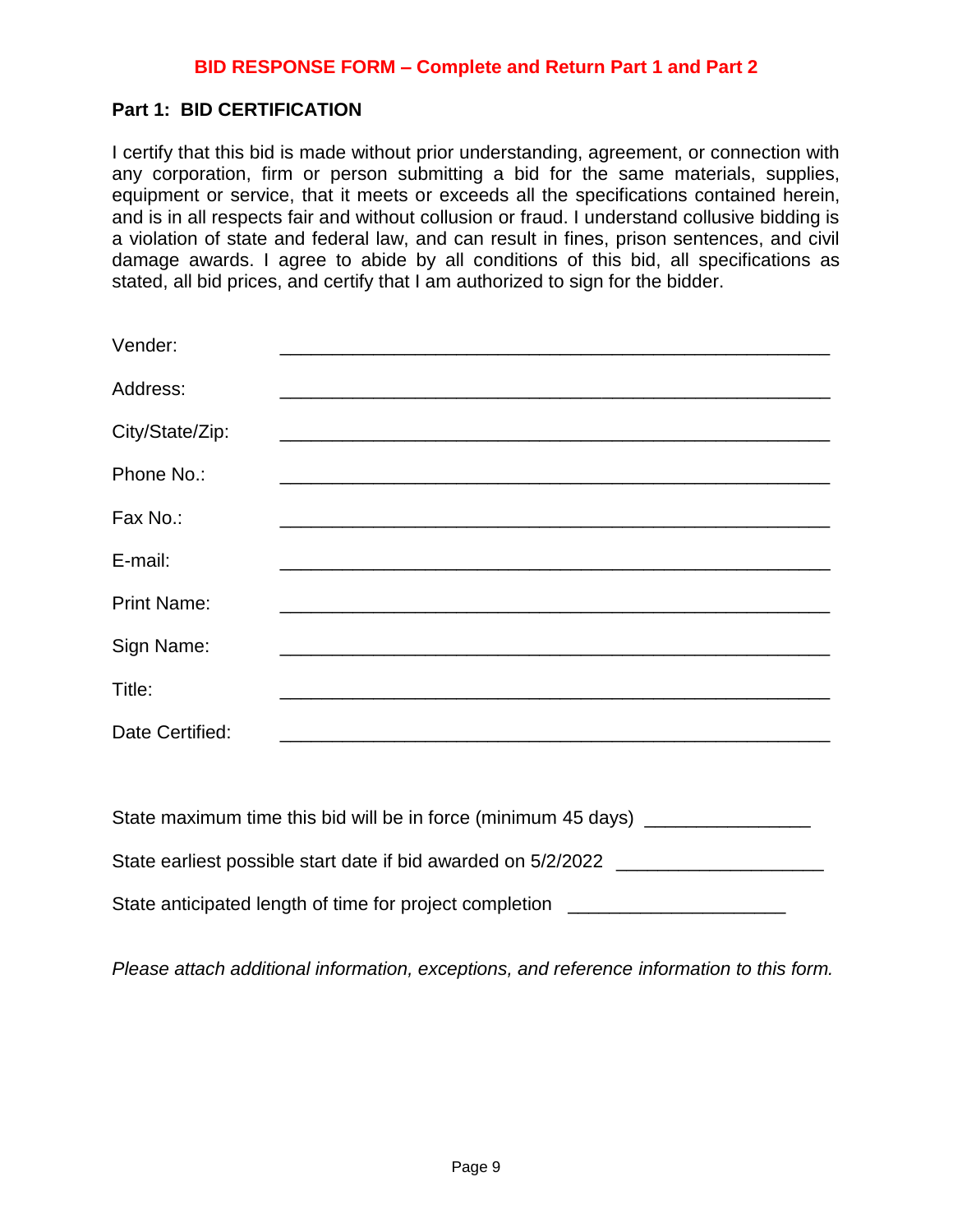### **Part 1: BID CERTIFICATION**

I certify that this bid is made without prior understanding, agreement, or connection with any corporation, firm or person submitting a bid for the same materials, supplies, equipment or service, that it meets or exceeds all the specifications contained herein, and is in all respects fair and without collusion or fraud. I understand collusive bidding is a violation of state and federal law, and can result in fines, prison sentences, and civil damage awards. I agree to abide by all conditions of this bid, all specifications as stated, all bid prices, and certify that I am authorized to sign for the bidder.

| Vender:            |                                                                                                                      |
|--------------------|----------------------------------------------------------------------------------------------------------------------|
| Address:           | <u> 1989 - Johann John Stone, markin fan it ferstjer fan de ferstjer fan it ferstjer fan it ferstjer fan it fers</u> |
| City/State/Zip:    |                                                                                                                      |
|                    |                                                                                                                      |
| Phone No.:         |                                                                                                                      |
| Fax No.:           |                                                                                                                      |
| E-mail:            |                                                                                                                      |
| <b>Print Name:</b> |                                                                                                                      |
| Sign Name:         |                                                                                                                      |
| Title:             |                                                                                                                      |
| Date Certified:    |                                                                                                                      |
|                    |                                                                                                                      |

| State maximum time this bid will be in force (minimum 45 days) |
|----------------------------------------------------------------|
| State earliest possible start date if bid awarded on 5/2/2022  |
| State anticipated length of time for project completion        |

*Please attach additional information, exceptions, and reference information to this form.*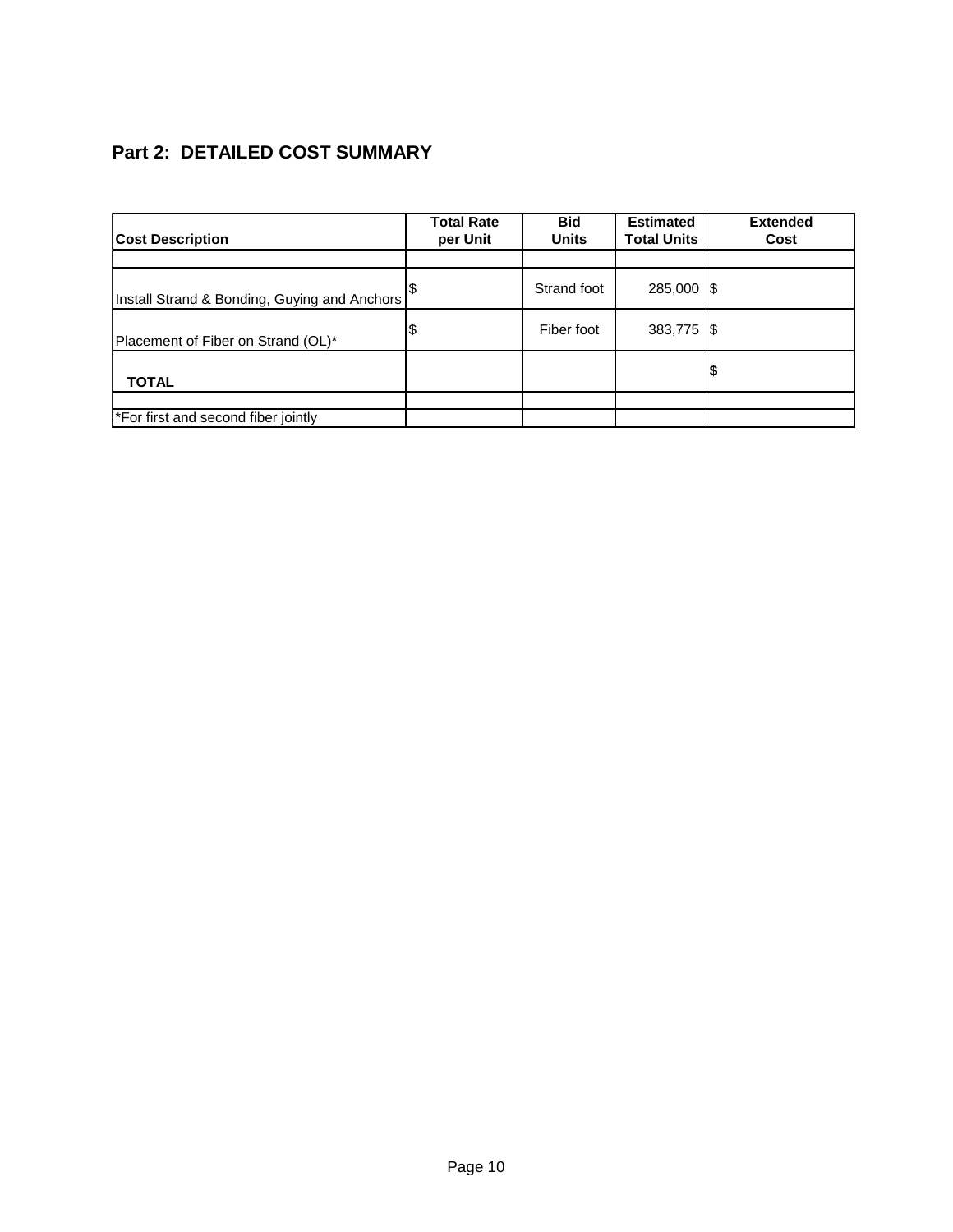# **Part 2: DETAILED COST SUMMARY**

| <b>Cost Description</b>                      | <b>Total Rate</b><br>per Unit | <b>Bid</b><br><b>Units</b> | <b>Estimated</b><br><b>Total Units</b> | <b>Extended</b><br>Cost |
|----------------------------------------------|-------------------------------|----------------------------|----------------------------------------|-------------------------|
|                                              |                               |                            |                                        |                         |
| Install Strand & Bonding, Guying and Anchors |                               | Strand foot                | 285,000 \$                             |                         |
| Placement of Fiber on Strand (OL)*           | \$                            | Fiber foot                 | 383,775 \$                             |                         |
| <b>TOTAL</b>                                 |                               |                            |                                        |                         |
|                                              |                               |                            |                                        |                         |
| *For first and second fiber jointly          |                               |                            |                                        |                         |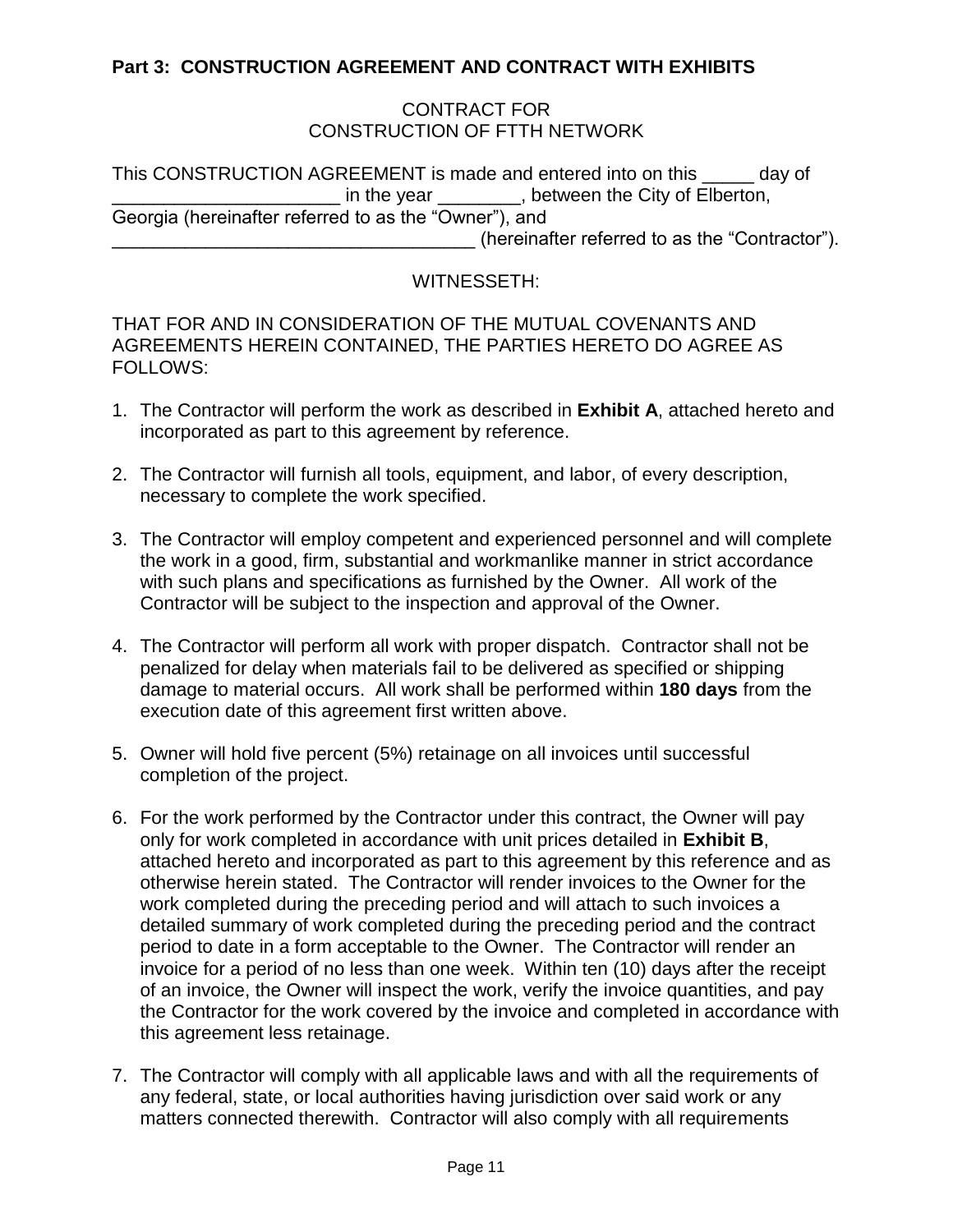# **Part 3: CONSTRUCTION AGREEMENT AND CONTRACT WITH EXHIBITS**

#### CONTRACT FOR CONSTRUCTION OF FTTH NETWORK

This CONSTRUCTION AGREEMENT is made and entered into on this \_\_\_\_\_ day of in the year endless between the City of Elberton, Georgia (hereinafter referred to as the "Owner"), and \_\_\_\_\_\_\_\_\_\_\_\_\_\_\_\_\_\_\_\_\_\_\_\_\_\_\_\_\_\_\_\_\_\_\_ (hereinafter referred to as the "Contractor").

#### WITNESSETH:

THAT FOR AND IN CONSIDERATION OF THE MUTUAL COVENANTS AND AGREEMENTS HEREIN CONTAINED, THE PARTIES HERETO DO AGREE AS FOLLOWS:

- 1. The Contractor will perform the work as described in **Exhibit A**, attached hereto and incorporated as part to this agreement by reference.
- 2. The Contractor will furnish all tools, equipment, and labor, of every description, necessary to complete the work specified.
- 3. The Contractor will employ competent and experienced personnel and will complete the work in a good, firm, substantial and workmanlike manner in strict accordance with such plans and specifications as furnished by the Owner. All work of the Contractor will be subject to the inspection and approval of the Owner.
- 4. The Contractor will perform all work with proper dispatch. Contractor shall not be penalized for delay when materials fail to be delivered as specified or shipping damage to material occurs. All work shall be performed within **180 days** from the execution date of this agreement first written above.
- 5. Owner will hold five percent (5%) retainage on all invoices until successful completion of the project.
- 6. For the work performed by the Contractor under this contract, the Owner will pay only for work completed in accordance with unit prices detailed in **Exhibit B**, attached hereto and incorporated as part to this agreement by this reference and as otherwise herein stated. The Contractor will render invoices to the Owner for the work completed during the preceding period and will attach to such invoices a detailed summary of work completed during the preceding period and the contract period to date in a form acceptable to the Owner. The Contractor will render an invoice for a period of no less than one week. Within ten (10) days after the receipt of an invoice, the Owner will inspect the work, verify the invoice quantities, and pay the Contractor for the work covered by the invoice and completed in accordance with this agreement less retainage.
- 7. The Contractor will comply with all applicable laws and with all the requirements of any federal, state, or local authorities having jurisdiction over said work or any matters connected therewith. Contractor will also comply with all requirements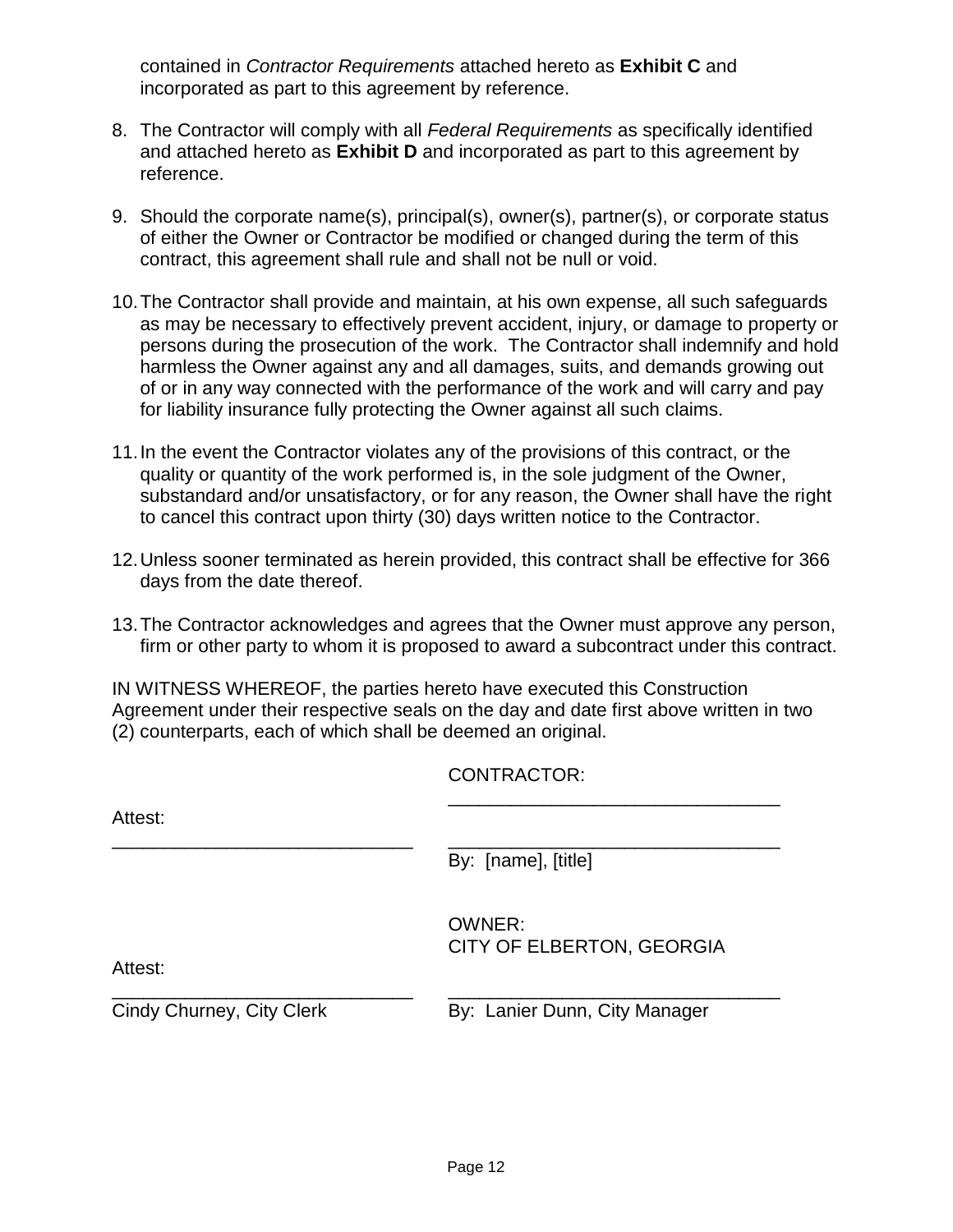contained in *Contractor Requirements* attached hereto as **Exhibit C** and incorporated as part to this agreement by reference.

- 8. The Contractor will comply with all *Federal Requirements* as specifically identified and attached hereto as **Exhibit D** and incorporated as part to this agreement by reference.
- 9. Should the corporate name(s), principal(s), owner(s), partner(s), or corporate status of either the Owner or Contractor be modified or changed during the term of this contract, this agreement shall rule and shall not be null or void.
- 10.The Contractor shall provide and maintain, at his own expense, all such safeguards as may be necessary to effectively prevent accident, injury, or damage to property or persons during the prosecution of the work. The Contractor shall indemnify and hold harmless the Owner against any and all damages, suits, and demands growing out of or in any way connected with the performance of the work and will carry and pay for liability insurance fully protecting the Owner against all such claims.
- 11.In the event the Contractor violates any of the provisions of this contract, or the quality or quantity of the work performed is, in the sole judgment of the Owner, substandard and/or unsatisfactory, or for any reason, the Owner shall have the right to cancel this contract upon thirty (30) days written notice to the Contractor.
- 12.Unless sooner terminated as herein provided, this contract shall be effective for 366 days from the date thereof.
- 13.The Contractor acknowledges and agrees that the Owner must approve any person, firm or other party to whom it is proposed to award a subcontract under this contract.

IN WITNESS WHEREOF, the parties hereto have executed this Construction Agreement under their respective seals on the day and date first above written in two (2) counterparts, each of which shall be deemed an original.

CONTRACTOR:

| Attest:                   |                                     |
|---------------------------|-------------------------------------|
|                           | By: [name], [title]                 |
| Attest:                   | OWNER:<br>CITY OF ELBERTON, GEORGIA |
| Cindy Churney, City Clerk | By: Lanier Dunn, City Manager       |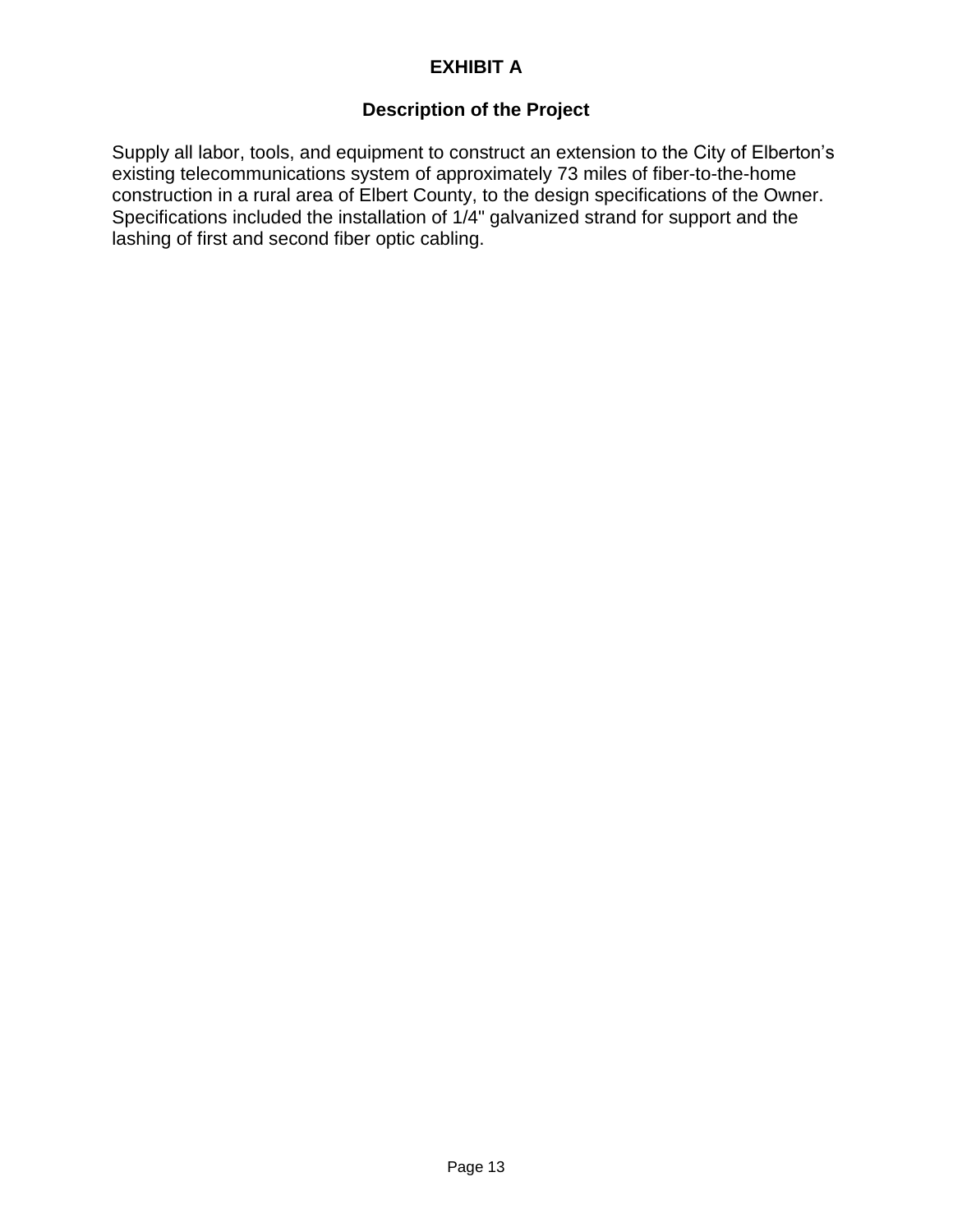# **EXHIBIT A**

# **Description of the Project**

Supply all labor, tools, and equipment to construct an extension to the City of Elberton's existing telecommunications system of approximately 73 miles of fiber-to-the-home construction in a rural area of Elbert County, to the design specifications of the Owner. Specifications included the installation of 1/4" galvanized strand for support and the lashing of first and second fiber optic cabling.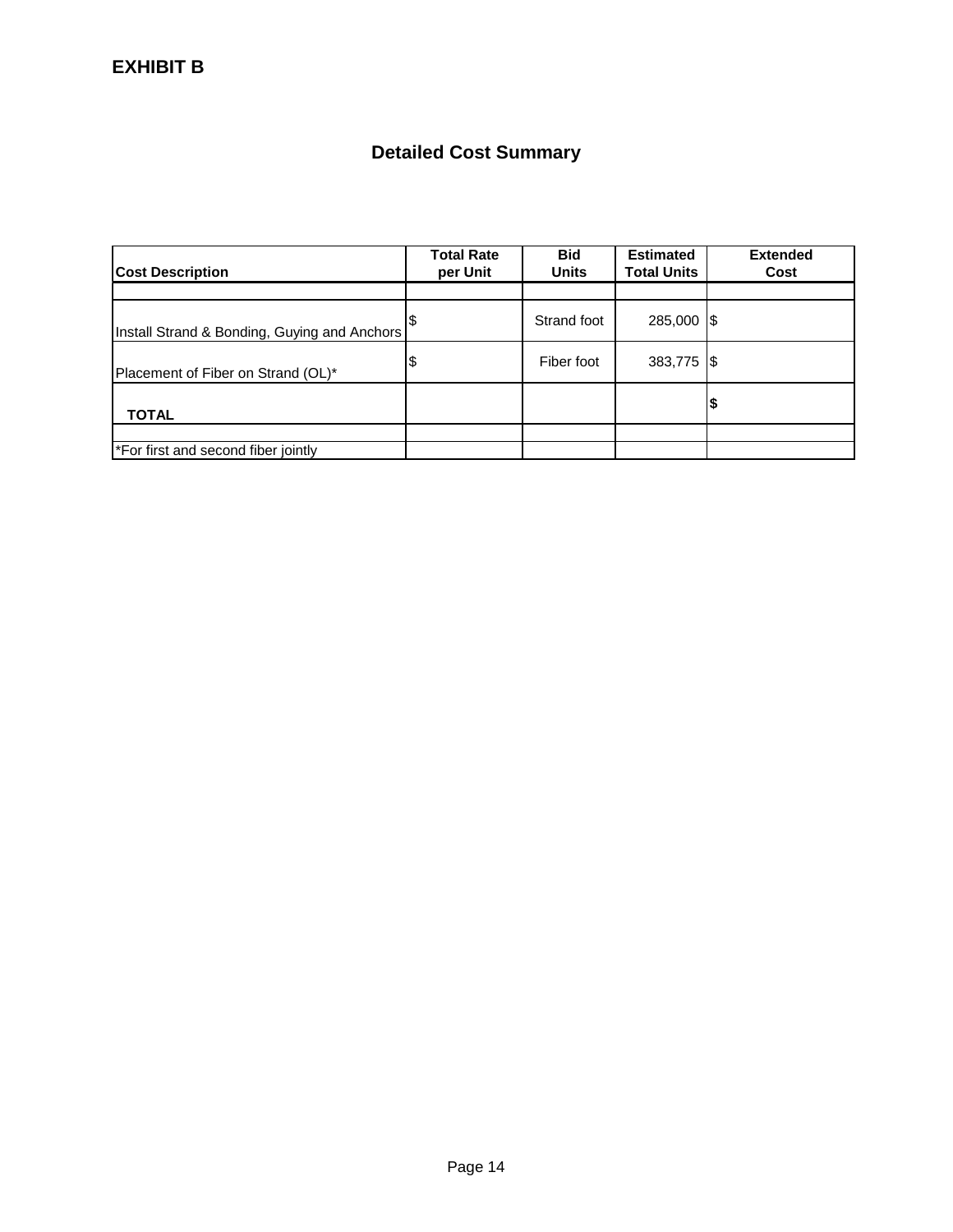# **Detailed Cost Summary**

| <b>Cost Description</b>                      | <b>Total Rate</b><br>per Unit | <b>Bid</b><br><b>Units</b> | <b>Estimated</b><br><b>Total Units</b> | <b>Extended</b><br>Cost |
|----------------------------------------------|-------------------------------|----------------------------|----------------------------------------|-------------------------|
|                                              |                               |                            |                                        |                         |
| Install Strand & Bonding, Guying and Anchors |                               | Strand foot                | 285,000 \$                             |                         |
| Placement of Fiber on Strand (OL)*           | \$                            | Fiber foot                 | 383,775 \$                             |                         |
| <b>TOTAL</b>                                 |                               |                            |                                        | 12                      |
|                                              |                               |                            |                                        |                         |
| *For first and second fiber jointly          |                               |                            |                                        |                         |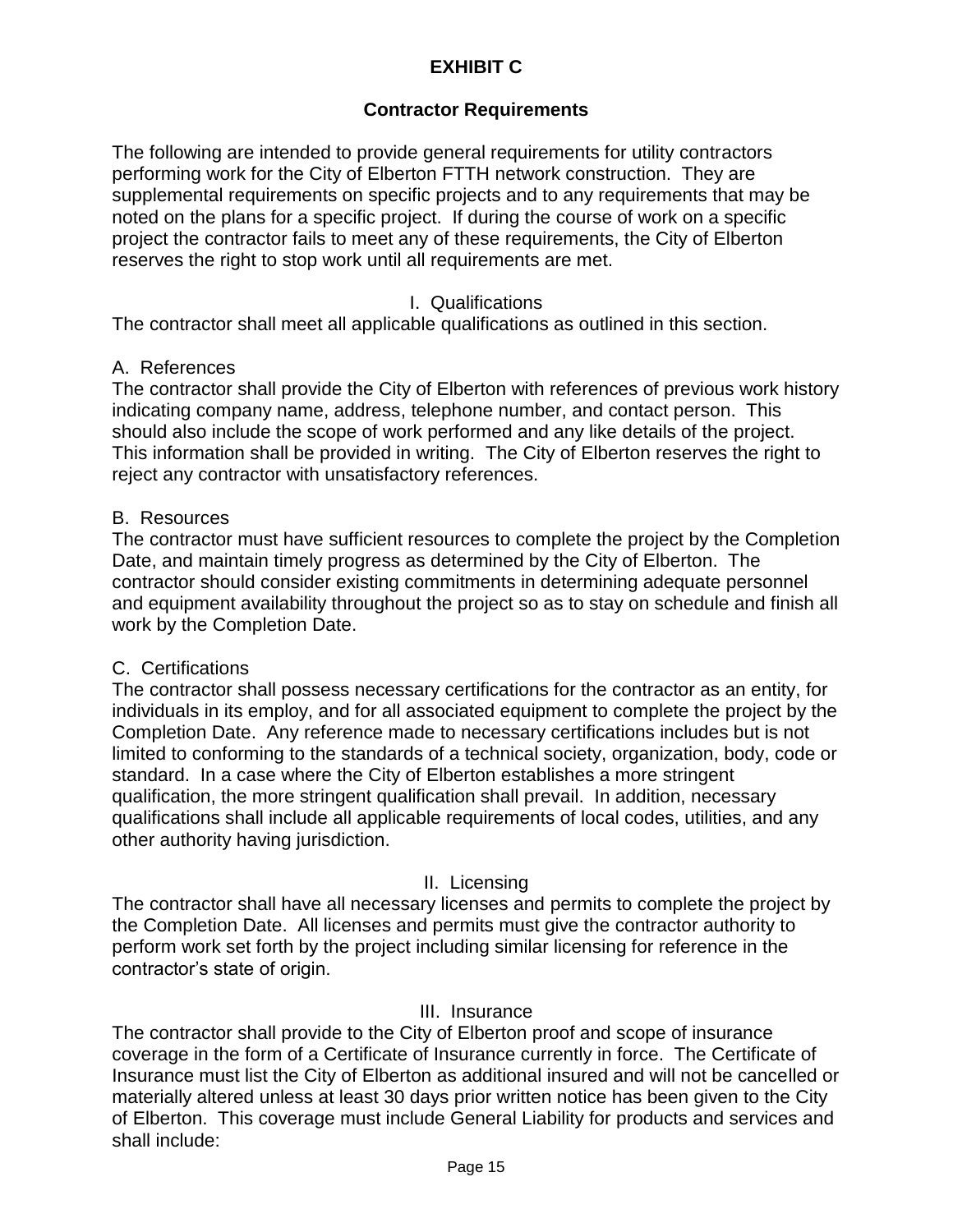# **EXHIBIT C**

### **Contractor Requirements**

The following are intended to provide general requirements for utility contractors performing work for the City of Elberton FTTH network construction. They are supplemental requirements on specific projects and to any requirements that may be noted on the plans for a specific project. If during the course of work on a specific project the contractor fails to meet any of these requirements, the City of Elberton reserves the right to stop work until all requirements are met.

#### I. Qualifications

The contractor shall meet all applicable qualifications as outlined in this section.

#### A. References

The contractor shall provide the City of Elberton with references of previous work history indicating company name, address, telephone number, and contact person. This should also include the scope of work performed and any like details of the project. This information shall be provided in writing. The City of Elberton reserves the right to reject any contractor with unsatisfactory references.

#### B. Resources

The contractor must have sufficient resources to complete the project by the Completion Date, and maintain timely progress as determined by the City of Elberton. The contractor should consider existing commitments in determining adequate personnel and equipment availability throughout the project so as to stay on schedule and finish all work by the Completion Date.

#### C. Certifications

The contractor shall possess necessary certifications for the contractor as an entity, for individuals in its employ, and for all associated equipment to complete the project by the Completion Date. Any reference made to necessary certifications includes but is not limited to conforming to the standards of a technical society, organization, body, code or standard. In a case where the City of Elberton establishes a more stringent qualification, the more stringent qualification shall prevail. In addition, necessary qualifications shall include all applicable requirements of local codes, utilities, and any other authority having jurisdiction.

#### II. Licensing

The contractor shall have all necessary licenses and permits to complete the project by the Completion Date. All licenses and permits must give the contractor authority to perform work set forth by the project including similar licensing for reference in the contractor's state of origin.

#### III. Insurance

The contractor shall provide to the City of Elberton proof and scope of insurance coverage in the form of a Certificate of Insurance currently in force. The Certificate of Insurance must list the City of Elberton as additional insured and will not be cancelled or materially altered unless at least 30 days prior written notice has been given to the City of Elberton. This coverage must include General Liability for products and services and shall include: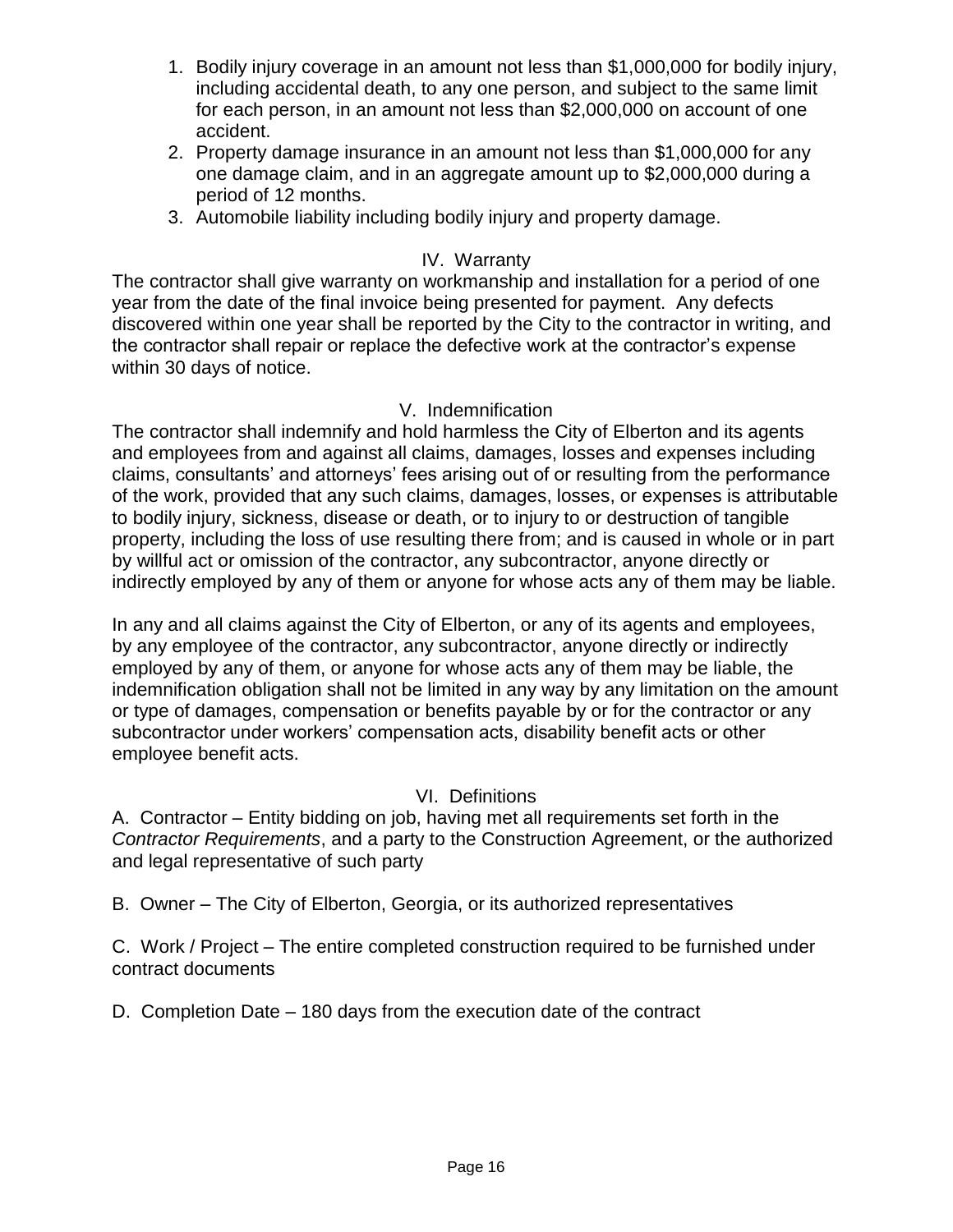- 1. Bodily injury coverage in an amount not less than \$1,000,000 for bodily injury, including accidental death, to any one person, and subject to the same limit for each person, in an amount not less than \$2,000,000 on account of one accident.
- 2. Property damage insurance in an amount not less than \$1,000,000 for any one damage claim, and in an aggregate amount up to \$2,000,000 during a period of 12 months.
- 3. Automobile liability including bodily injury and property damage.

# IV. Warranty

The contractor shall give warranty on workmanship and installation for a period of one year from the date of the final invoice being presented for payment. Any defects discovered within one year shall be reported by the City to the contractor in writing, and the contractor shall repair or replace the defective work at the contractor's expense within 30 days of notice.

#### V. Indemnification

The contractor shall indemnify and hold harmless the City of Elberton and its agents and employees from and against all claims, damages, losses and expenses including claims, consultants' and attorneys' fees arising out of or resulting from the performance of the work, provided that any such claims, damages, losses, or expenses is attributable to bodily injury, sickness, disease or death, or to injury to or destruction of tangible property, including the loss of use resulting there from; and is caused in whole or in part by willful act or omission of the contractor, any subcontractor, anyone directly or indirectly employed by any of them or anyone for whose acts any of them may be liable.

In any and all claims against the City of Elberton, or any of its agents and employees, by any employee of the contractor, any subcontractor, anyone directly or indirectly employed by any of them, or anyone for whose acts any of them may be liable, the indemnification obligation shall not be limited in any way by any limitation on the amount or type of damages, compensation or benefits payable by or for the contractor or any subcontractor under workers' compensation acts, disability benefit acts or other employee benefit acts.

# VI. Definitions

A. Contractor – Entity bidding on job, having met all requirements set forth in the *Contractor Requirements*, and a party to the Construction Agreement, or the authorized and legal representative of such party

B. Owner – The City of Elberton, Georgia, or its authorized representatives

C. Work / Project – The entire completed construction required to be furnished under contract documents

D. Completion Date – 180 days from the execution date of the contract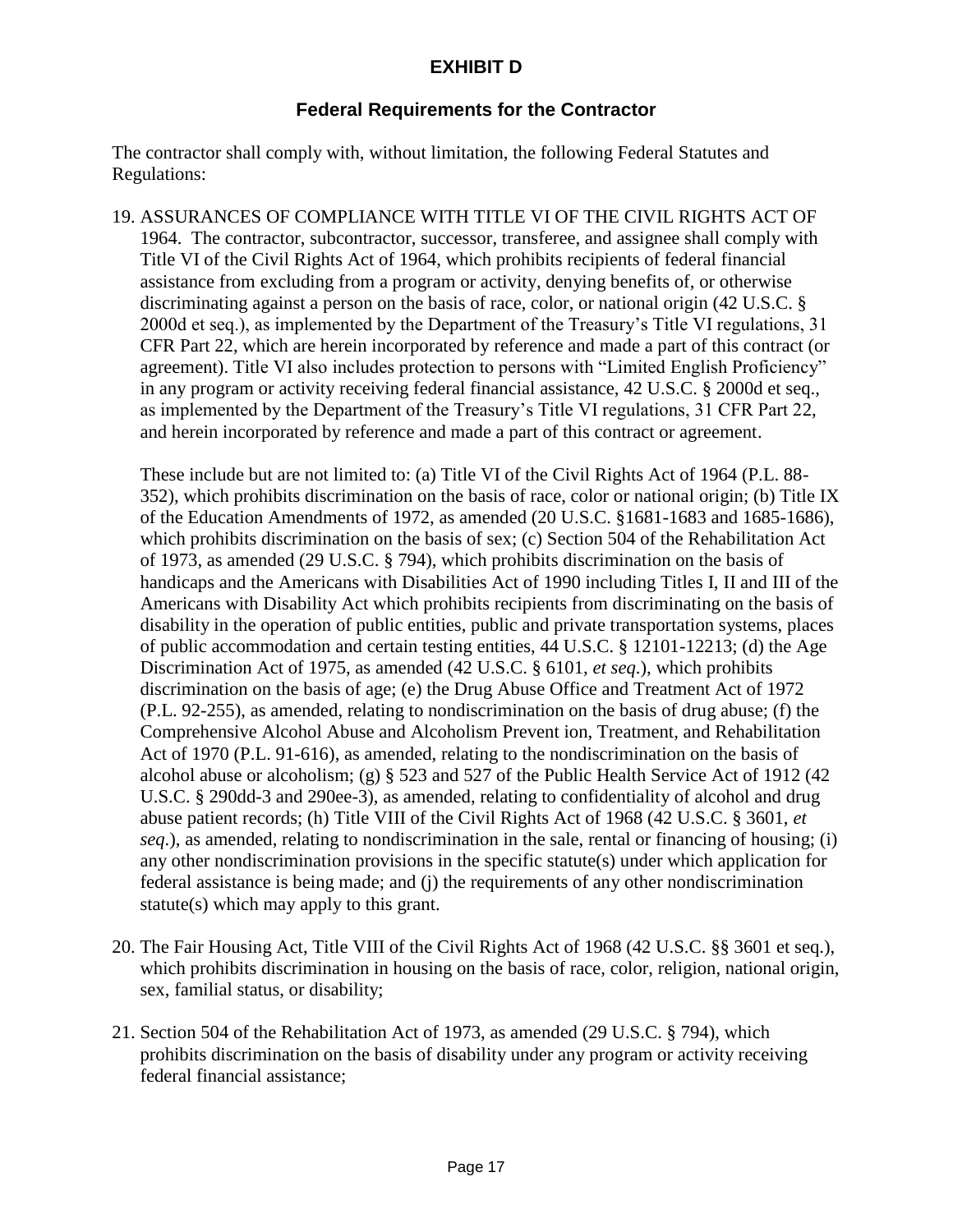# **EXHIBIT D**

#### **Federal Requirements for the Contractor**

The contractor shall comply with, without limitation, the following Federal Statutes and Regulations:

19. ASSURANCES OF COMPLIANCE WITH TITLE VI OF THE CIVIL RIGHTS ACT OF 1964. The contractor, subcontractor, successor, transferee, and assignee shall comply with Title VI of the Civil Rights Act of 1964, which prohibits recipients of federal financial assistance from excluding from a program or activity, denying benefits of, or otherwise discriminating against a person on the basis of race, color, or national origin (42 U.S.C. § 2000d et seq.), as implemented by the Department of the Treasury's Title VI regulations, 31 CFR Part 22, which are herein incorporated by reference and made a part of this contract (or agreement). Title VI also includes protection to persons with "Limited English Proficiency" in any program or activity receiving federal financial assistance, 42 U.S.C. § 2000d et seq., as implemented by the Department of the Treasury's Title VI regulations, 31 CFR Part 22, and herein incorporated by reference and made a part of this contract or agreement.

These include but are not limited to: (a) Title VI of the Civil Rights Act of 1964 (P.L. 88- 352), which prohibits discrimination on the basis of race, color or national origin; (b) Title IX of the Education Amendments of 1972, as amended (20 U.S.C. §1681-1683 and 1685-1686), which prohibits discrimination on the basis of sex; (c) Section 504 of the Rehabilitation Act of 1973, as amended (29 U.S.C. § 794), which prohibits discrimination on the basis of handicaps and the Americans with Disabilities Act of 1990 including Titles I, II and III of the Americans with Disability Act which prohibits recipients from discriminating on the basis of disability in the operation of public entities, public and private transportation systems, places of public accommodation and certain testing entities, 44 U.S.C. § 12101-12213; (d) the Age Discrimination Act of 1975, as amended (42 U.S.C. § 6101, *et seq*.), which prohibits discrimination on the basis of age; (e) the Drug Abuse Office and Treatment Act of 1972 (P.L. 92-255), as amended, relating to nondiscrimination on the basis of drug abuse; (f) the Comprehensive Alcohol Abuse and Alcoholism Prevent ion, Treatment, and Rehabilitation Act of 1970 (P.L. 91-616), as amended, relating to the nondiscrimination on the basis of alcohol abuse or alcoholism; (g) § 523 and 527 of the Public Health Service Act of 1912 (42 U.S.C. § 290dd-3 and 290ee-3), as amended, relating to confidentiality of alcohol and drug abuse patient records; (h) Title VIII of the Civil Rights Act of 1968 (42 U.S.C. § 3601, *et seq*.), as amended, relating to nondiscrimination in the sale, rental or financing of housing; (i) any other nondiscrimination provisions in the specific statute(s) under which application for federal assistance is being made; and (j) the requirements of any other nondiscrimination statute(s) which may apply to this grant.

- 20. The Fair Housing Act, Title VIII of the Civil Rights Act of 1968 (42 U.S.C. §§ 3601 et seq.), which prohibits discrimination in housing on the basis of race, color, religion, national origin, sex, familial status, or disability;
- 21. Section 504 of the Rehabilitation Act of 1973, as amended (29 U.S.C. § 794), which prohibits discrimination on the basis of disability under any program or activity receiving federal financial assistance;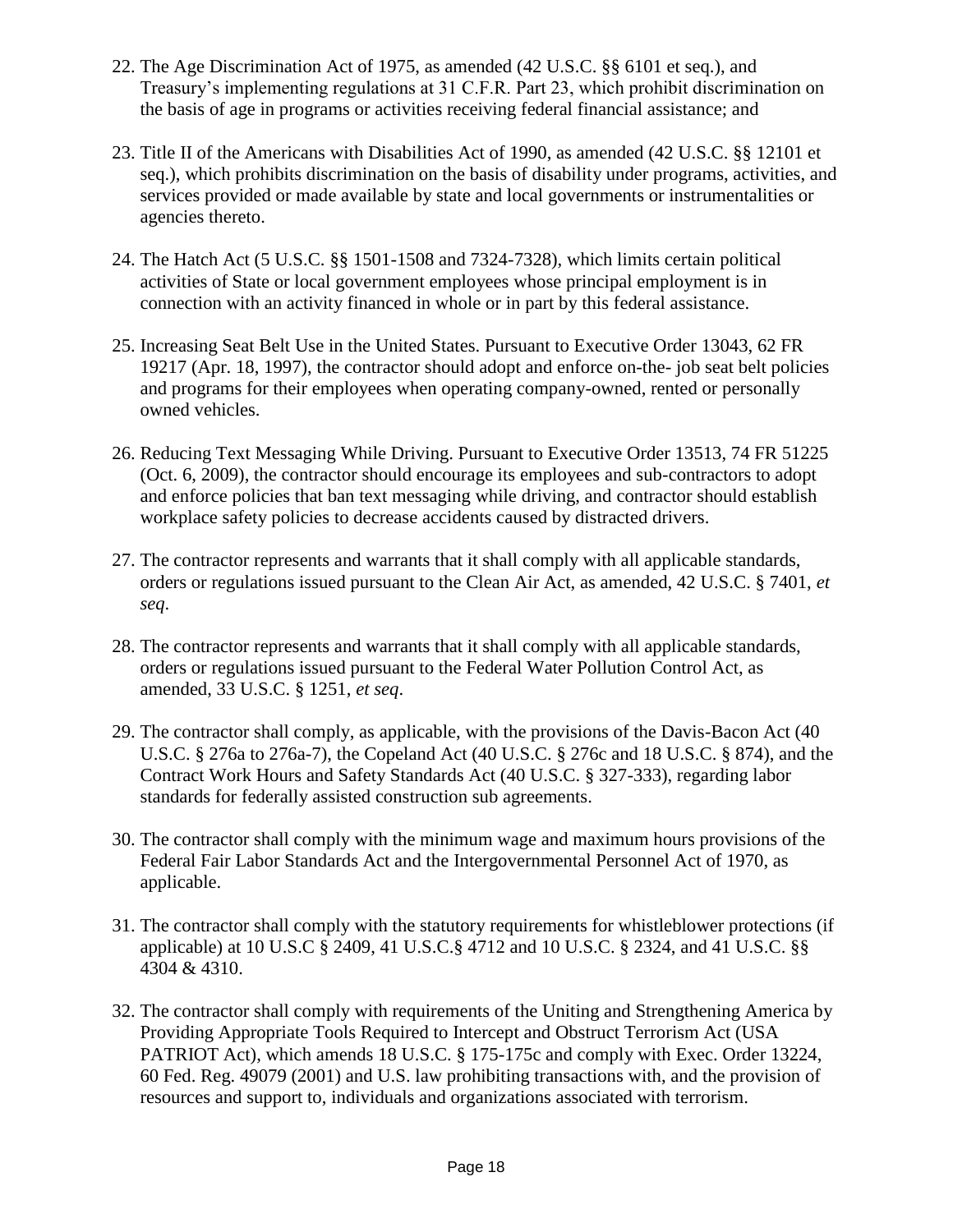- 22. The Age Discrimination Act of 1975, as amended (42 U.S.C. §§ 6101 et seq.), and Treasury's implementing regulations at 31 C.F.R. Part 23, which prohibit discrimination on the basis of age in programs or activities receiving federal financial assistance; and
- 23. Title II of the Americans with Disabilities Act of 1990, as amended (42 U.S.C. §§ 12101 et seq.), which prohibits discrimination on the basis of disability under programs, activities, and services provided or made available by state and local governments or instrumentalities or agencies thereto.
- 24. The Hatch Act (5 U.S.C. §§ 1501-1508 and 7324-7328), which limits certain political activities of State or local government employees whose principal employment is in connection with an activity financed in whole or in part by this federal assistance.
- 25. Increasing Seat Belt Use in the United States. Pursuant to Executive Order 13043, 62 FR 19217 (Apr. 18, 1997), the contractor should adopt and enforce on-the- job seat belt policies and programs for their employees when operating company-owned, rented or personally owned vehicles.
- 26. Reducing Text Messaging While Driving. Pursuant to Executive Order 13513, 74 FR 51225 (Oct. 6, 2009), the contractor should encourage its employees and sub-contractors to adopt and enforce policies that ban text messaging while driving, and contractor should establish workplace safety policies to decrease accidents caused by distracted drivers.
- 27. The contractor represents and warrants that it shall comply with all applicable standards, orders or regulations issued pursuant to the Clean Air Act, as amended, 42 U.S.C. § 7401, *et seq*.
- 28. The contractor represents and warrants that it shall comply with all applicable standards, orders or regulations issued pursuant to the Federal Water Pollution Control Act, as amended, 33 U.S.C. § 1251, *et seq*.
- 29. The contractor shall comply, as applicable, with the provisions of the Davis-Bacon Act (40 U.S.C. § 276a to 276a-7), the Copeland Act (40 U.S.C. § 276c and 18 U.S.C. § 874), and the Contract Work Hours and Safety Standards Act (40 U.S.C. § 327-333), regarding labor standards for federally assisted construction sub agreements.
- 30. The contractor shall comply with the minimum wage and maximum hours provisions of the Federal Fair Labor Standards Act and the Intergovernmental Personnel Act of 1970, as applicable.
- 31. The contractor shall comply with the statutory requirements for whistleblower protections (if applicable) at 10 U.S.C § 2409, 41 U.S.C.§ 4712 and 10 U.S.C. § 2324, and 41 U.S.C. §§ 4304 & 4310.
- 32. The contractor shall comply with requirements of the Uniting and Strengthening America by Providing Appropriate Tools Required to Intercept and Obstruct Terrorism Act (USA PATRIOT Act), which amends 18 U.S.C. § 175-175c and comply with Exec. Order 13224, 60 Fed. Reg. 49079 (2001) and U.S. law prohibiting transactions with, and the provision of resources and support to, individuals and organizations associated with terrorism.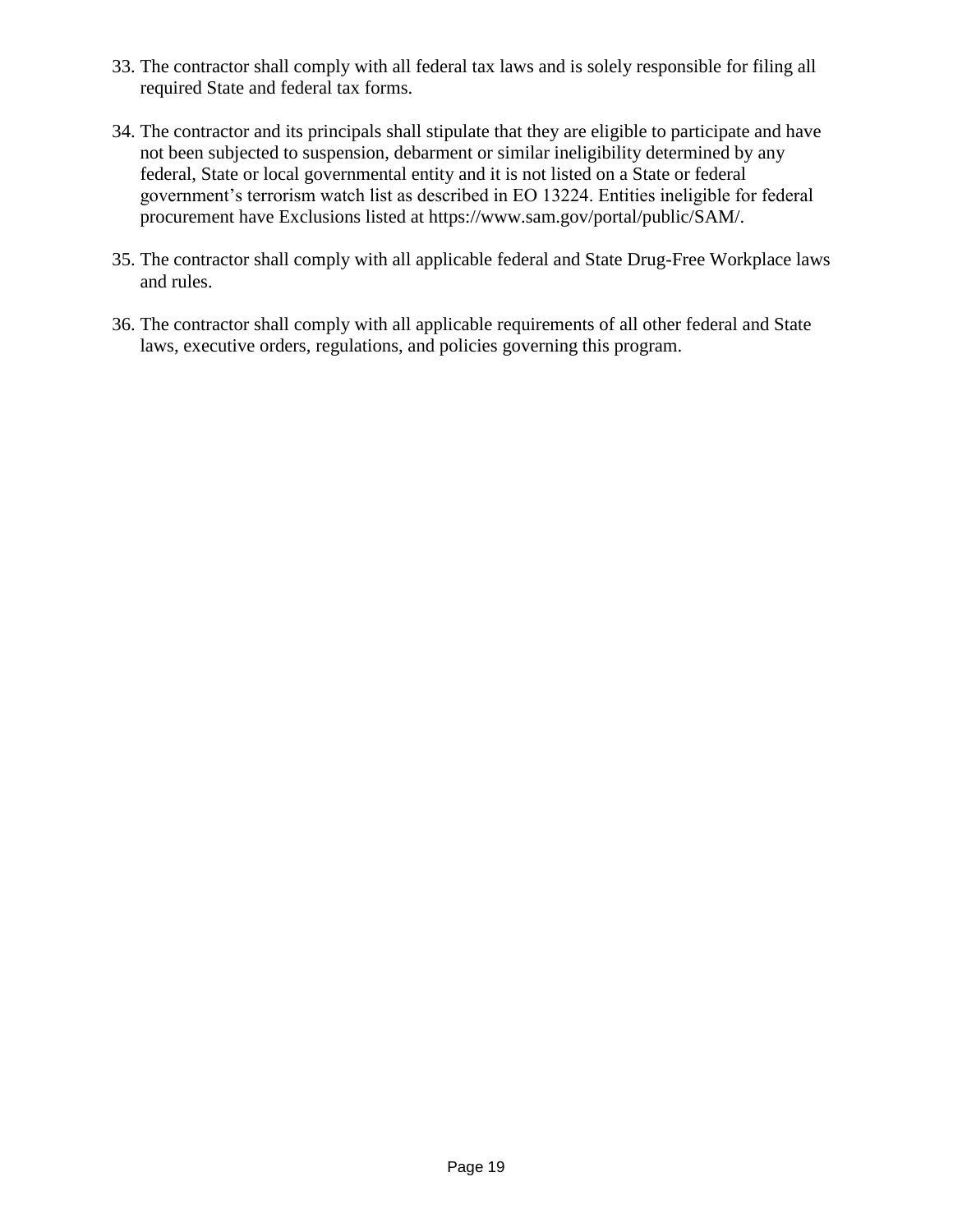- 33. The contractor shall comply with all federal tax laws and is solely responsible for filing all required State and federal tax forms.
- 34. The contractor and its principals shall stipulate that they are eligible to participate and have not been subjected to suspension, debarment or similar ineligibility determined by any federal, State or local governmental entity and it is not listed on a State or federal government's terrorism watch list as described in EO 13224. Entities ineligible for federal procurement have Exclusions listed at https://www.sam.gov/portal/public/SAM/.
- 35. The contractor shall comply with all applicable federal and State Drug-Free Workplace laws and rules.
- 36. The contractor shall comply with all applicable requirements of all other federal and State laws, executive orders, regulations, and policies governing this program.